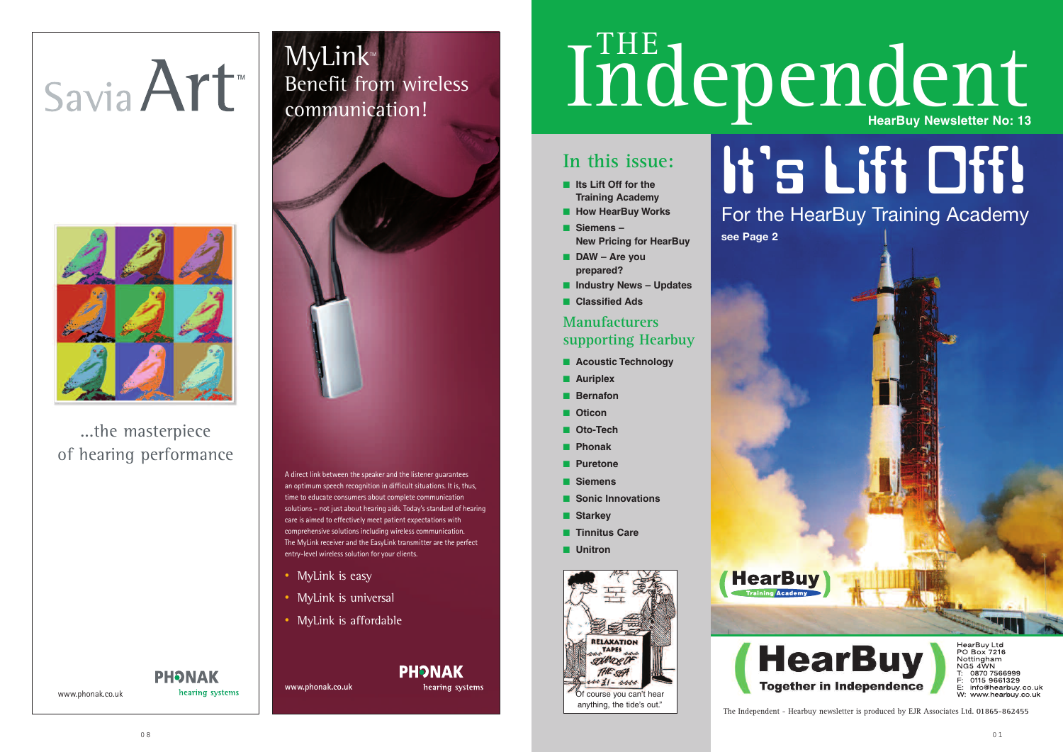## **In this issue:**

- **■ Its Lift Off for the Training Academy**
- **How HearBuy Works**
- **■ Siemens – New Pricing for HearBuy**
- **■ DAW Are you prepared?**
- **■ Industry News Updates**
- **■ Classified Ads**

### **Manufacturers supporting Hearbuy**

- **■ Acoustic Technology**
- **■ Auriplex**
- **■ Bernafon**
- **■ Oticon**
- **■ Oto-Tech**
- **■ Phonak**
- **■ Puretone**
- **■ Siemens**
- **■ Sonic Innovations**
- **■ Starkey**
- **■ Tinnitus Care**
- **■ Unitron**

MyLink<sup>M</sup> Benefit from wireless communication!



The Independent - Hearbuy newsletter is produced by EJR Associates Ltd. **01865-862455**

# It's Lift Off! For the HearBuy Training Academy



HearBuy Ltd<br>PO Box 7216<br>Nottingham NG5 4WN<br>T: 0870 7566999<br>F: 0115 9661329<br>E: info@hearbuy.co.uk W: www.hearbuy.co.uk



 $0.8$ 

**HearBuy** 

www.phonak.co.uk

hearing systems

# Savia Art



...the masterpiece of hearing performance

**PHONAK** 

- MyLink is easy
- MyLink is universal
- MyLink is affordable

### **PHONAK**

# Independent

A direct link between the speaker and the listener guarantees an optimum speech recognition in difficult situations. It is, thus, time to educate consumers about complete communication solutions – not just about hearing aids. Today's standard of hearing care is aimed to effectively meet patient expectations with comprehensive solutions including wireless communication. The MyLink receiver and the EasyLink transmitter are the perfect entry-level wireless solution for your clients.

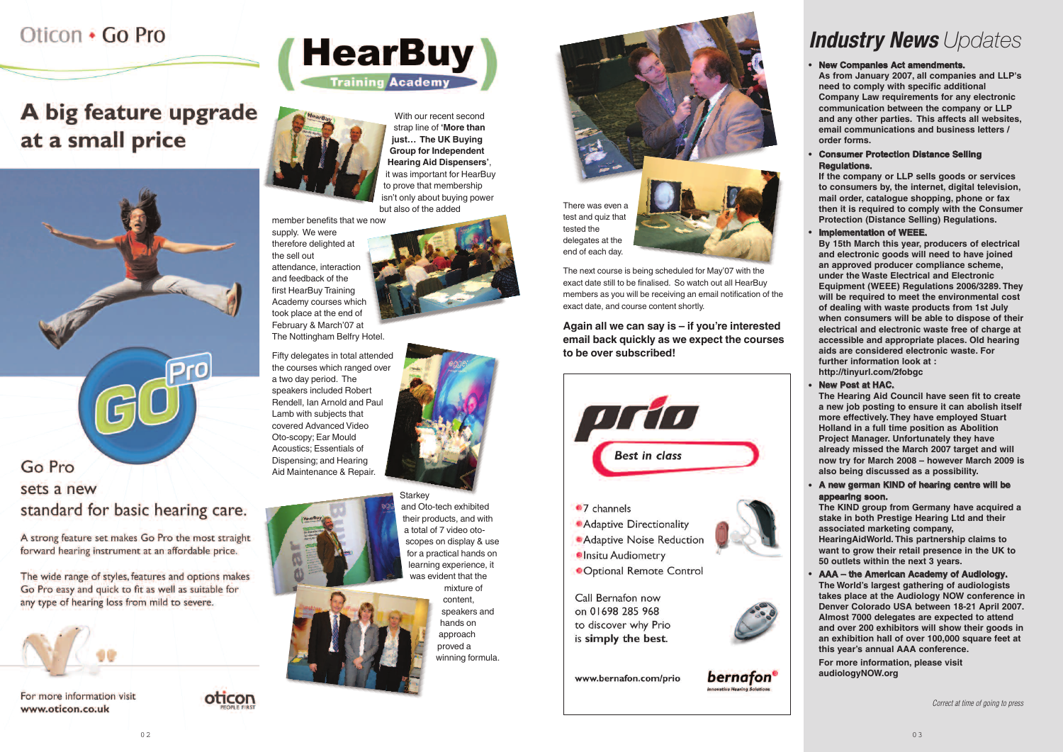# Oticon . Go Pro

A big feature upgrade at a small price



**Pro** 

A strong feature set makes Go Pro the most straight forward hearing instrument at an affordable price.

The wide range of styles, features and options makes Go Pro easy and quick to fit as well as suitable for any type of hearing loss from mild to severe.



For more information visit www.oticon.co.uk









# *Industry News Updates*

### **• New Companies Act amendments.**

### **• Consumer Protection Distance Selling Regulations.**

**As from January 2007, all companies and LLP's need to comply with specific additional Company Law requirements for any electronic communication between the company or LLP and any other parties. This affects all websites, email communications and business letters / order forms.**

### **• implementation of WEEE.**

**If the company or LLP sells goods or services to consumers by, the internet, digital television, mail order, catalogue shopping, phone or fax then it is required to comply with the Consumer Protection (Distance Selling) Regulations.**

### **• New Post at HAC.**

### **•** A new german KIND of hearing centre will be appearing soon.

**By 15th March this year, producers of electrical and electronic goods will need to have joined an approved producer compliance scheme, under the Waste Electrical and Electronic Equipment (WEEE) Regulations 2006/3289. They will be required to meet the environmental cost of dealing with waste products from 1st July when consumers will be able to dispose of their electrical and electronic waste free of charge at accessible and appropriate places. Old hearing aids are considered electronic waste . For further information look at : http://tinyurl.com/2fobgc** 

**The Hearing Aid Council have seen fit to create a new job posting to ensure it can abolish itself more effectively. They have employed Stuart Holland in a full time position as Abolition Project Manager. Unfortunately they have already missed the March 2007 target and will now try for March 2008 – however March 2009 is also being discussed as a possibility.**

Starkey and Oto-tech exhibited their products, and with a total of 7 video otoscopes on display & use for a practical hands on learning experience, it was evident that the

**The KIND group from Germany have acquired a stake in both Prestige Hearing Ltd and their associated marketing company, HearingAidWorld. This partnership claims to want to grow their retail presence in the UK to 50 outlets within the next 3 years.**

### **•** AAA - the American Academy of Audiology. **The World's largest gathering of audiologists takes place at the Audiology NOW conference in Denver Colorado USA between 18-21 April 2007.**

**Almost 7000 delegates are expected to attend and over 200 exhibitors will show their goods in an exhibition hall of over 100,000 square feet at this year's annual AAA conference.**

**For more information, please visit audiologyNOW.org**

With our recent second strap line of **'More than just… The UK Buying**

**Group for Independent Hearing Aid Dispensers'** , it was important for HearBuy to prove that membership isn't only about buying power but also of the added member benefits that we now

supply. We were

therefore delighted at the sell out attendance, interaction and feedback of the first HearBuy Training Academy courses which took place at the end of February & March'07 at The Nottingham Belfry Hotel.

Fifty delegates in total attended the courses which ranged over a two day period. The speakers included Rober t Rendell, Ian Arnold and Paul Lamb with subjects that covered Advanced Video Oto-scopy; Ear Mould Acoustics; Essentials of Dispensing; and Hearing Aid Maintenance & Repair.



mixture of content, speakers and hands on approach proved a winning formula.



tested the delegates at the end of each day.

The next course is being scheduled for May'07 with the exact date still to be finalised. So watch out all HearBuy members as you will be receiving an email notification of the

exact date, and course content shortly.

**Again all we can say is – if you're interested email back quickly as we expect the courses to be over subscribed!**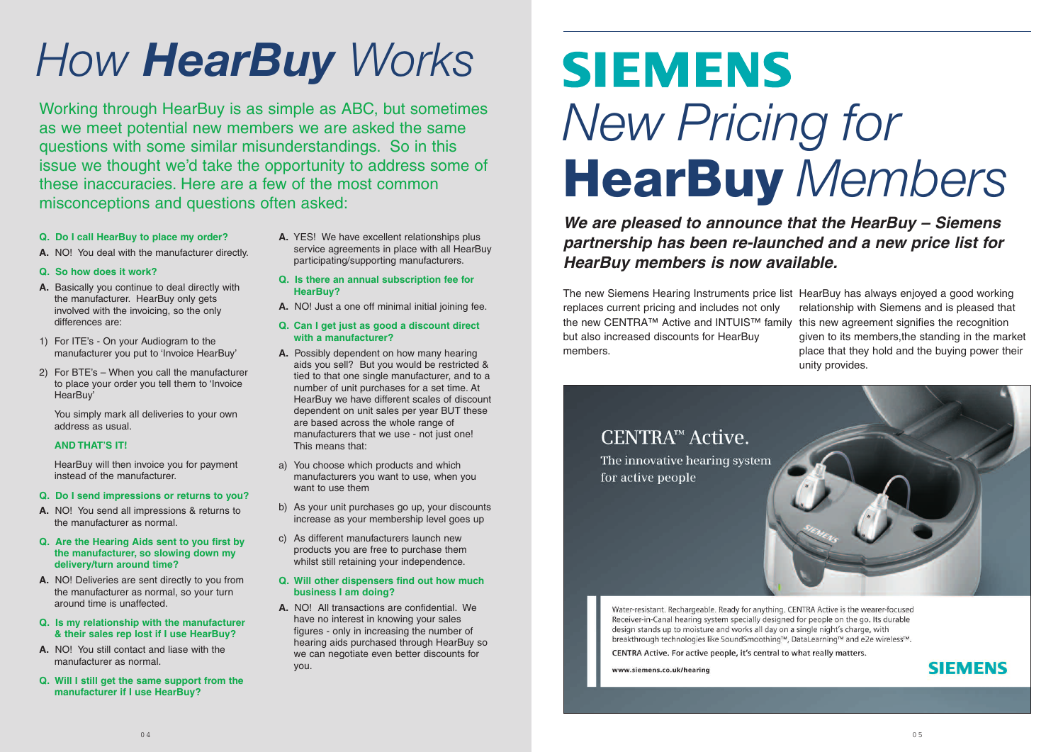- **Q. Do I call HearBuy to place my order?**
- **A.** NO! You deal with the manufacturer directly.
- **Q. So how does it work?**
- **A.** Basically you continue to deal directly with the manufacturer. HearBuy only gets involved with the invoicing, so the only differences are:
- 1) For ITE's On your Audiogram to the manufacturer you put to 'Invoice HearBuy'
- 2) For BTE's When you call the manufacturer to place your order you tell them to 'Invoice HearBuy'

You simply mark all deliveries to your own address as usual.

### **AND THAT'S IT!**

HearBuy will then invoice you for payment instead of the manufacturer.

- **Q. Do I send impressions or returns to you?**
- **A.** NO! You send all impressions & returns to the manufacturer as normal.
- **Q. Are the Hearing Aids sent to you first by the manufacturer, so slowing down my delivery/turn around time?**
- **A.** NO! Deliveries are sent directly to you from the manufacturer as normal, so your turn around time is unaffected.
- **Q. Is my relationship with the manufacturer & their sales rep lost if I use HearBuy?**
- **A.** NO! You still contact and liase with the manufacturer as normal.
- **Q. Will I still get the same support from the manufacturer if I use HearBuy?**

# **SIEMENS** *New Pricing for* **HearBuy** *Members*

- **A.** YES! We have excellent relationships plus service agreements in place with all HearBuy participating/supporting manufacturers.
- **Q. Is there an annual subscription fee for HearBuy?**
- **A.** NO! Just a one off minimal initial joining fee.
- **Q. Can I get just as good a discount direct with a manufacturer?**
- **A.** Possibly dependent on how many hearing aids you sell? But you would be restricted & tied to that one single manufacturer, and to a number of unit purchases for a set time. At HearBuy we have different scales of discount dependent on unit sales per year BUT these are based across the whole range of manufacturers that we use - not just one! This means that:
- a) You choose which products and which manufacturers you want to use, when you want to use them
- b) As your unit purchases go up, your discounts increase as your membership level goes up
- c) As different manufacturers launch new products you are free to purchase them whilst still retaining your independence.

### **Q. Will other dispensers find out how much business I am doing?**

**A.** NO! All transactions are confidential. We have no interest in knowing your sales figures - only in increasing the number of hearing aids purchased through HearBuy so we can negotiate even better discounts for you.

# *How HearBuy Works*

Working through HearBuy is as simple as ABC, but sometimes as we meet potential new members we are asked the same questions with some similar misunderstandings. So in this issue we thought we'd take the opportunity to address some of these inaccuracies. Here are a few of the most common misconceptions and questions often asked:

> *We are pleased to announce that the HearBuy – Siemens partnership has been re-launched and a new price list for HearBuy members is now available.*

The new Siemens Hearing Instruments price list HearBuy has always enjoyed a good working replaces current pricing and includes not only the new CENTRA™ Active and INTUIS™ family this new agreement signifies the recognition but also increased discounts for HearBuy members. relationship with Siemens and is pleased that given to its members,the standing in the market place that they hold and the buying power their unity provides.

# CENTRA™ Active.

The innovative hearing system for active people

Water-resistant. Rechargeable. Ready for anything. CENTRA Active is the wearer-focused Receiver-in-Canal hearing system specially designed for people on the go. Its durable design stands up to moisture and works all day on a single night's charge, with breakthrough technologies like SoundSmoothing™, DataLearning™ and e2e wireless™.

CENTRA Active. For active people, it's central to what really matters.

www.siemens.co.uk/hearing